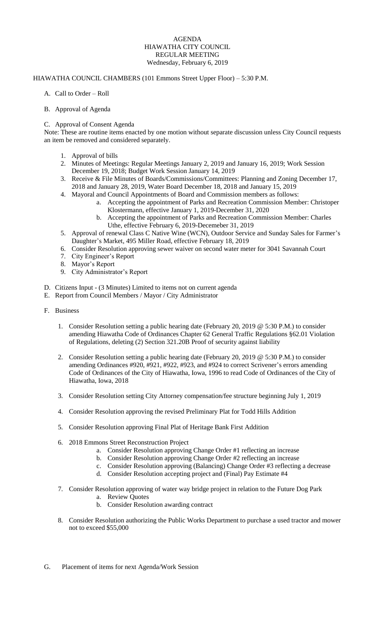## AGENDA HIAWATHA CITY COUNCIL REGULAR MEETING Wednesday, February 6, 2019

## HIAWATHA COUNCIL CHAMBERS (101 Emmons Street Upper Floor) – 5:30 P.M.

- A. Call to Order Roll
- B. Approval of Agenda

## C. Approval of Consent Agenda

Note: These are routine items enacted by one motion without separate discussion unless City Council requests an item be removed and considered separately.

- 1. Approval of bills
- 2. Minutes of Meetings: Regular Meetings January 2, 2019 and January 16, 2019; Work Session December 19, 2018; Budget Work Session January 14, 2019
- 3. Receive & File Minutes of Boards/Commissions/Committees: Planning and Zoning December 17, 2018 and January 28, 2019, Water Board December 18, 2018 and January 15, 2019
- 4. Mayoral and Council Appointments of Board and Commission members as follows:
	- a. Accepting the appointment of Parks and Recreation Commission Member: Christoper Klostermann, effective January 1, 2019-December 31, 2020
	- b. Accepting the appointment of Parks and Recreation Commission Member: Charles Uthe, effective February 6, 2019-Decemeber 31, 2019
- 5. Approval of renewal Class C Native Wine (WCN), Outdoor Service and Sunday Sales for Farmer's Daughter's Market, 495 Miller Road, effective February 18, 2019
- 6. Consider Resolution approving sewer waiver on second water meter for 3041 Savannah Court
- 7. City Engineer's Report
- 8. Mayor's Report
- 9. City Administrator's Report
- D. Citizens Input (3 Minutes) Limited to items not on current agenda
- E. Report from Council Members / Mayor / City Administrator
- F. Business
	- 1. Consider Resolution setting a public hearing date (February 20, 2019 @ 5:30 P.M.) to consider amending Hiawatha Code of Ordinances Chapter 62 General Traffic Regulations §62.01 Violation of Regulations, deleting (2) Section 321.20B Proof of security against liability
	- 2. Consider Resolution setting a public hearing date (February 20, 2019 @ 5:30 P.M.) to consider amending Ordinances #920, #921, #922, #923, and #924 to correct Scrivener's errors amending Code of Ordinances of the City of Hiawatha, Iowa, 1996 to read Code of Ordinances of the City of Hiawatha, Iowa, 2018
	- 3. Consider Resolution setting City Attorney compensation/fee structure beginning July 1, 2019
	- 4. Consider Resolution approving the revised Preliminary Plat for Todd Hills Addition
	- 5. Consider Resolution approving Final Plat of Heritage Bank First Addition
	- 6. 2018 Emmons Street Reconstruction Project
		- a. Consider Resolution approving Change Order #1 reflecting an increase
		- b. Consider Resolution approving Change Order #2 reflecting an increase
		- c. Consider Resolution approving (Balancing) Change Order #3 reflecting a decrease
		- d. Consider Resolution accepting project and (Final) Pay Estimate #4
	- 7. Consider Resolution approving of water way bridge project in relation to the Future Dog Park a. Review Quotes
		- b. Consider Resolution awarding contract
	- 8. Consider Resolution authorizing the Public Works Department to purchase a used tractor and mower not to exceed \$55,000